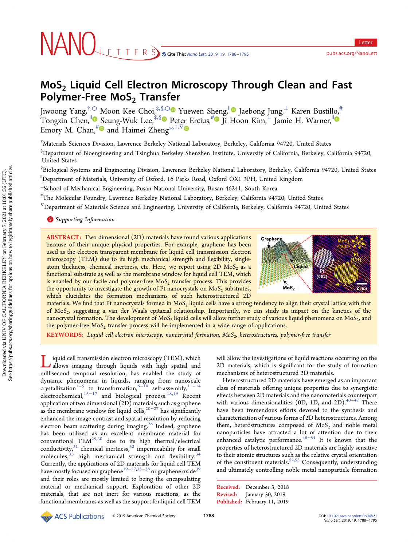# MoS<sub>2</sub> Liquid Cell Electron Microscopy Through Clean and Fast Polymer-Free MoS<sub>2</sub> Transfer

Jiwoong Yang,†,[○](#page-5-0) Moon Kee Choi,‡,§,[○](#page-5-0) Yuewen Sheng,|| Jaebong Jung,<sup>⊥</sup> Karen Bustillo,#  $\sum_{i=1}^{\infty}$  Chen,<sup>||</sup> [S](#page-5-0)eung-Wuk Lee,<sup>‡,§</sup> Pet[er](#page-5-0) Ercius,<sup>[#](#page-5-0)</sup> Ji Hoon Kim, ⊥Jamie H. Warner, Emory M. Chan,<sup>#</sup> and Haimei Zheng<sup>[\\*](#page-5-0),†,∇</sup>

† Materials Sciences Division, Lawrence Berkeley National Laboratory, Berkeley, California 94720, United States

‡ Department of Bioengineering and Tsinghua Berkeley Shenzhen Institute, University of California, Berkeley, California 94720, United States

§ Biological Systems and Engineering Division, Lawrence Berkeley National Laboratory, Berkeley, California 94720, United States

||Department of Materials, University of Oxford, 16 Parks Road, Oxford OX1 3PH, United Kingdom

<sup>⊥</sup>School of Mechanical Engineering, Pusan National University, Busan 46241, South Korea

# The Molecular Foundry, Lawrence Berkeley National Laboratory, Berkeley, California 94720, United States

<sup>V</sup>Department of Materials Science and Engineering, University of California, Berkeley, California 94720, United States

**S** [Supporting Information](#page-5-0)

ABSTRACT: Two dimensional (2D) materials have found various applications because of their unique physical properties. For example, graphene has been used as the electron transparent membrane for liquid cell transmission electron microscopy (TEM) due to its high mechanical strength and flexibility, singleatom thickness, chemical inertness, etc. Here, we report using  $2D$  MoS<sub>2</sub> as a functional substrate as well as the membrane window for liquid cell TEM, which is enabled by our facile and polymer-free  $MoS<sub>2</sub>$  transfer process. This provides the opportunity to investigate the growth of Pt nanocrystals on  $MoS<sub>2</sub>$  substrates, which elucidates the formation mechanisms of such heterostructured 2D



materials. We find that Pt nanocrystals formed in  $MoS<sub>2</sub>$  liquid cells have a strong tendency to align their crystal lattice with that of MoS2, suggesting a van der Waals epitaxial relationship. Importantly, we can study its impact on the kinetics of the nanocrystal formation. The development of MoS<sub>2</sub> liquid cells will allow further study of various liquid phenomena on MoS<sub>2</sub>, and the polymer-free  $MoS<sub>2</sub>$  transfer process will be implemented in a wide range of applications.

KEYWORDS: Liquid cell electron microscopy, nanocrystal formation,  $MoS<sub>2</sub>$ , heterostructures, polymer-free transfer

Liquid cell transmission electron microscopy (TEM), which allows imaging through liquids with high spatial and millisecond temporal resolution, has enabled the study of dynamic phenomena in liquids, ranging from nanoscale crystallization<sup>[1](#page-5-0)−[5](#page-5-0)</sup> to transformation,<sup>[6](#page-5-0)−[10](#page-5-0)</sup> self-assembly,<sup>[11](#page-5-0)−[14](#page-5-0)</sup> electrochemical,<sup>[15](#page-5-0)−[17](#page-6-0)</sup> and biological process.<sup>[18](#page-6-0),[19](#page-6-0)</sup> Recent application of two dimensional (2D) materials, such as graphene as the membrane window for liquid cells,<sup>[20](#page-6-0)−[27](#page-6-0)</sup> has significantly enhanced the image contrast and spatial resolution by reducing electron beam scattering during imaging.<sup>[28](#page-6-0)</sup> Indeed, graphene has been utilized as an excellent membrane material for conventional TEM $^{29,30}$  $^{29,30}$  $^{29,30}$  $^{29,30}$  $^{29,30}$  due to its high thermal/electrical conductivity, $31$  chemical inertness,  $32$  impermeability for small molecules,<sup>[33](#page-6-0)</sup> high mechanical strength and flexibility.<sup>[34](#page-6-0)</sup> Currently, the applications of 2D materials for liquid cell TEM have mostly focused on graphene<sup>19−[27,35](#page-6-0)−[38](#page-6-0)</sup> or graphene oxide<sup>[39](#page-6-0)</sup> and their roles are mostly limited to being the encapsulating material or mechanical support. Exploration of other 2D materials, that are not inert for various reactions, as the functional membranes as well as the support for liquid cell TEM

will allow the investigations of liquid reactions occurring on the 2D materials, which is significant for the study of formation mechanisms of heterostructured 2D materials.

Heterostructured 2D materials have emerged as an important class of materials offering unique properties due to synergistic effects between 2D materials and the nanomaterials counterpart with various dimensionalities (0D, 1D, and 2D).<sup>[40](#page-6-0)-[47](#page-6-0)</sup> There have been tremendous efforts devoted to the synthesis and characterization of various forms of 2D heterostructures. Among them, heterostructures composed of  $MoS<sub>2</sub>$  and noble metal nanoparticles have attracted a lot of attention due to their enhanced catalytic performance. $48-51$  $48-51$  $48-51$  It is known that the properties of heterostructured 2D materials are highly sensitive to their atomic structures such as the relative crystal orientation of the constituent materials.<sup>[52,53](#page-6-0)</sup> Consequently, understanding and ultimately controlling noble metal nanoparticle formation

Received: December 3, 2018 Revised: January 30, 2019 Published: February 11, 2019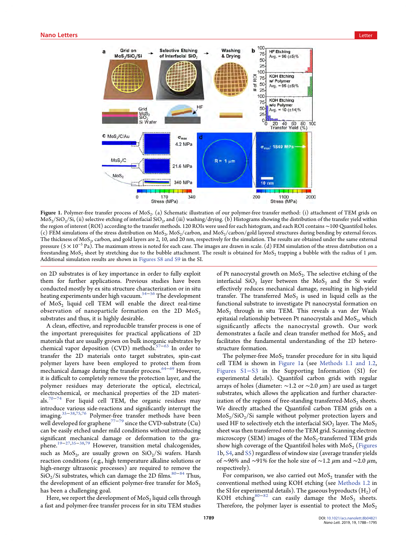<span id="page-1-0"></span>

Figure 1. Polymer-free transfer process of MoS<sub>2</sub>. (a) Schematic illustration of our polymer-free transfer method: (i) attachment of TEM grids on  $MoS_2/SiO_2/Si$ , (ii) selective etching of interfacial  $SiO_2$ , and (iii) washing/drying. (b) Histograms showing the distribution of the transfer yield within the region of interest (ROI) according to the transfer methods. 120 ROIs were used for each histogram, and each ROI contains ∼100 Quantifoil holes. (c) FEM simulations of the stress distribution on MoS<sub>2</sub>, MoS<sub>2</sub>/carbon, and MoS<sub>2</sub>/carbon/gold layered structures during bending by external forces. The thickness of MoS<sub>2</sub>, carbon, and gold layers are 2, 10, and 20 nm, respectively for the simulation. The results are obtained under the same external pressure ( $5 \times 10^{-5}$  Pa). The maximum stress is noted for each case. The images are drawn in scale. (d) FEM simulation of the stress distribution on a freestanding MoS<sub>2</sub> sheet by stretching due to the bubble attachment. The result is obtained for MoS<sub>2</sub> trapping a bubble with the radius of 1  $\mu$ m. Additional simulation results are shown in [Figures S8 and S9](http://pubs.acs.org/doi/suppl/10.1021/acs.nanolett.8b04821/suppl_file/nl8b04821_si_001.pdf) in the SI.

on 2D substrates is of key importance in order to fully exploit them for further applications. Previous studies have been conducted mostly by ex situ structure characterization or in situ heating experiments under high vacuum.[54](#page-6-0)−[56](#page-6-0) The development of  $MoS<sub>2</sub>$  liquid cell TEM will enable the direct real-time observation of nanoparticle formation on the 2D  $MoS<sub>2</sub>$ substrates and thus, it is highly desirable.

A clean, effective, and reproducible transfer process is one of the important prerequisites for practical applications of 2D materials that are usually grown on bulk inorganic substrates by chemical vapor deposition (CVD) methods.[57](#page-6-0)−[63](#page-6-0) In order to transfer the 2D materials onto target substrates, spin-cast polymer layers have been employed to protect them from mechanical damage during the transfer process.<sup>[64](#page-6-0)–[69](#page-6-0)</sup> However, it is difficult to completely remove the protection layer, and the polymer residues may deteriorate the optical, electrical, electrochemical, or mechanical properties of the 2D materials.[70](#page-6-0)−[74](#page-7-0) For liquid cell TEM, the organic residues may introduce various side-reactions and significantly interrupt the imaging.[35](#page-6-0)<sup>−</sup>[38](#page-6-0),[75,76](#page-7-0) Polymer-free transfer methods have been well developed for graphene<sup>[77](#page-7-0)−[79](#page-7-0)</sup> since the CVD-substrate (Cu) can be easily etched under mild conditions without introducing significant mechanical damage or deformation to the graphene.[19](#page-6-0)<sup>−</sup>[27](#page-6-0),[35](#page-6-0)−[38](#page-6-0),[79](#page-7-0) However, transition metal chalcogenides, such as  $MoS<sub>2</sub>$ , are usually grown on  $SiO<sub>2</sub>/Si$  wafers. Harsh reaction conditions (e.g., high temperature alkaline solutions or high-energy ultrasonic processes) are required to remove the SiO<sub>2</sub>/Si substrates, which can damage the 2D films.<sup>[80](#page-7-0)−[84](#page-7-0)</sup> Thus, the development of an efficient polymer-free transfer for  $MoS<sub>2</sub>$ has been a challenging goal.

Here, we report the development of  $MoS<sub>2</sub>$  liquid cells through a fast and polymer-free transfer process for in situ TEM studies

of Pt nanocrystal growth on  $MoS<sub>2</sub>$ . The selective etching of the interfacial  $SiO<sub>2</sub>$  layer between the  $MoS<sub>2</sub>$  and the Si wafer effectively reduces mechanical damage, resulting in high-yield transfer. The transferred  $MoS<sub>2</sub>$  is used in liquid cells as the functional substrate to investigate Pt nanocrystal formation on MoS<sub>2</sub> through in situ TEM. This reveals a van der Waals epitaxial relationship between Pt nanocrystals and  $MoS<sub>2</sub>$ , which significantly affects the nanocrystal growth. Our work demonstrates a facile and clean transfer method for  $MoS<sub>2</sub>$  and facilitates the fundamental understanding of the 2D heterostructure formation.

The polymer-free  $MoS<sub>2</sub>$  transfer procedure for in situ liquid cell TEM is shown in Figure 1a (see [Methods 1.1 and 1.2](http://pubs.acs.org/doi/suppl/10.1021/acs.nanolett.8b04821/suppl_file/nl8b04821_si_001.pdf), [Figures S1](http://pubs.acs.org/doi/suppl/10.1021/acs.nanolett.8b04821/suppl_file/nl8b04821_si_001.pdf)−S3 in the Supporting Information (SI) for experimental details). Quantifoil carbon grids with regular arrays of holes (diameter:  $\sim$ 1.2 or  $\sim$ 2.0 µm) are used as target substrates, which allows the application and further characterization of the regions of free-standing transferred- $MoS<sub>2</sub>$  sheets. We directly attached the Quantifoil carbon TEM grids on a  $MoS<sub>2</sub>/SiO<sub>2</sub>/Si$  sample without polymer protection layers and used HF to selectively etch the interfacial  $SiO<sub>2</sub>$  layer. The MoS<sub>2</sub> sheet was then transferred onto the TEM grid. Scanning electron microscopy (SEM) images of the  $MoS<sub>2</sub>$ -transferred TEM grids show high coverage of the Quantifoil holes with  $MoS<sub>2</sub>$  (Figures 1b, [S4](http://pubs.acs.org/doi/suppl/10.1021/acs.nanolett.8b04821/suppl_file/nl8b04821_si_001.pdf), and [S5\)](http://pubs.acs.org/doi/suppl/10.1021/acs.nanolett.8b04821/suppl_file/nl8b04821_si_001.pdf) regardless of window size (average transfer yields of ∼96% and ∼91% for the hole size of ∼1.2 μm and ∼2.0 μm, respectively).

For comparison, we also carried out  $MoS<sub>2</sub>$  transfer with the conventional method using KOH etching (see [Methods 1.2](http://pubs.acs.org/doi/suppl/10.1021/acs.nanolett.8b04821/suppl_file/nl8b04821_si_001.pdf) in the SI for experimental details). The gaseous byproducts  $(H_2)$  of KOH etching<sup>[80](#page-7-0)−[82](#page-7-0)</sup> can easily damage the MoS<sub>2</sub> sheets. Therefore, the polymer layer is essential to protect the  $MoS<sub>2</sub>$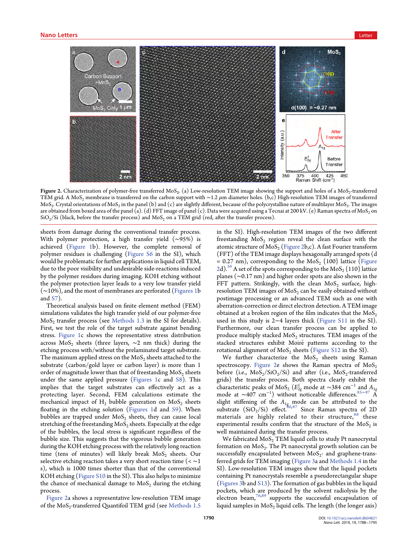

Figure 2. Characterization of polymer-free transferred MoS<sub>2</sub>. (a) Low-resolution TEM image showing the support and holes of a MoS<sub>2</sub>-transferred TEM grid. A MoS<sub>2</sub> membrane is transferred on the carbon support with ~1.2  $\mu$ m diameter holes. (b,c) High-resolution TEM images of transferred  $MoS<sub>2</sub>$ . Crystal orientations of  $MoS<sub>2</sub>$  in the panel (b) and (c) are slightly different, because of the polycrystalline nature of multilayer  $MoS<sub>2</sub>$ . The images are obtained from boxed area of the panel (a). (d) FFT image of panel (c). Data were acquired using a Tecnai at 200 kV. (e) Raman spectra of MoS<sub>2</sub> on  $SiO_2/Si$  (black, before the transfer process) and  $MoS_2$  on a TEM grid (red, after the transfer process).

sheets from damage during the conventional transfer process. With polymer protection, a high transfer yield (∼95%) is achieved [\(Figure 1](#page-1-0)b). However, the complete removal of polymer residues is challenging ([Figure S6](http://pubs.acs.org/doi/suppl/10.1021/acs.nanolett.8b04821/suppl_file/nl8b04821_si_001.pdf) in the SI), which would be problematic for further applications in liquid cell TEM, due to the poor visibility and undesirable side-reactions induced by the polymer residues during imaging. KOH etching without the polymer protection layer leads to a very low transfer yield (∼10%), and the most of membranes are perforated [\(Figures 1b](#page-1-0) and [S7\)](http://pubs.acs.org/doi/suppl/10.1021/acs.nanolett.8b04821/suppl_file/nl8b04821_si_001.pdf).

Theoretical analysis based on finite element method (FEM) simulations validates the high transfer yield of our polymer-free  $MoS<sub>2</sub>$  transfer process (see [Methods 1.3](http://pubs.acs.org/doi/suppl/10.1021/acs.nanolett.8b04821/suppl_file/nl8b04821_si_001.pdf) in the SI for details). First, we test the role of the target substrate against bending stress. [Figure 1](#page-1-0)c shows the representative stress distribution across MoS<sub>2</sub> sheets (three layers,  $\sim$ 2 nm thick) during the etching process with/without the prelaminated target substrate. The maximum applied stress on the  $MoS<sub>2</sub>$  sheets attached to the substrate (carbon/gold layer or carbon layer) is more than 1 order of magnitude lower than that of freestanding  $MoS<sub>2</sub>$  sheets under the same applied pressure [\(Figures 1](#page-1-0)c and [S8\)](http://pubs.acs.org/doi/suppl/10.1021/acs.nanolett.8b04821/suppl_file/nl8b04821_si_001.pdf). This implies that the target substrates can effectively act as a protecting layer. Second, FEM calculations estimate the mechanical impact of  $H_2$  bubble generation on  $MoS_2$  sheets floating in the etching solution ([Figures 1d](#page-1-0) and [S9](http://pubs.acs.org/doi/suppl/10.1021/acs.nanolett.8b04821/suppl_file/nl8b04821_si_001.pdf)). When bubbles are trapped under  $MoS<sub>2</sub>$  sheets, they can cause local stretching of the freestanding  $MoS<sub>2</sub>$  sheets. Especially at the edge of the bubbles, the local stress is significant regardless of the bubble size. This suggests that the vigorous bubble generation during the KOH etching process with the relatively long reaction time (tens of minutes) will likely break  $MoS<sub>2</sub>$  sheets. Our selective etching reaction takes a very short reaction time ( $\lt \sim 1$ s), which is 1000 times shorter than that of the conventional KOH etching [\(Figure S10](http://pubs.acs.org/doi/suppl/10.1021/acs.nanolett.8b04821/suppl_file/nl8b04821_si_001.pdf) in the SI). This also helps to minimize the chance of mechanical damage to  $MoS<sub>2</sub>$  during the etching process.

Figure 2a shows a representative low-resolution TEM image of the  $MoS<sub>2</sub>$ -transferred Quantifoil TEM grid (see [Methods 1.5](http://pubs.acs.org/doi/suppl/10.1021/acs.nanolett.8b04821/suppl_file/nl8b04821_si_001.pdf)) in the SI). High-resolution TEM images of the two different freestanding  $MoS<sub>2</sub>$  region reveal the clean surface with the atomic structure of  $MoS<sub>2</sub>$  (Figure 2b,c). A fast Fourier transform (FFT) of the TEM image displays hexagonally arranged spots (d  $= 0.27$  nm), corresponding to the MoS<sub>2</sub> {100} lattice (Figure 2d).<sup>56</sup> A set of the spots corresponding to the  $MoS<sub>2</sub>$  {110} lattice planes (∼0.17 nm) and higher order spots are also shown in the FFT pattern. Strikingly, with the clean  $MoS<sub>2</sub>$  surface, highresolution TEM images of  $MoS<sub>2</sub>$  can be easily obtained without postimage processing or an advanced TEM such as one with aberration-correction or direct electron detection. A TEM image obtained at a broken region of the film indicates that the  $MoS<sub>2</sub>$ used in this study is 2−4 layers thick [\(Figure S11](http://pubs.acs.org/doi/suppl/10.1021/acs.nanolett.8b04821/suppl_file/nl8b04821_si_001.pdf) in the SI). Furthermore, our clean transfer process can be applied to produce multiply stacked  $MoS<sub>2</sub>$  structures. TEM images of the stacked structures exhibit Moiré patterns according to the rotational alignment of  $MoS<sub>2</sub>$  sheets ([Figure S12](http://pubs.acs.org/doi/suppl/10.1021/acs.nanolett.8b04821/suppl_file/nl8b04821_si_001.pdf) in the SI).

We further characterize the  $MoS<sub>2</sub>$  sheets using Raman spectroscopy. Figure 2e shows the Raman spectra of  $MoS_2$ before (i.e.,  $MoS_2/SiO_2/Si$ ) and after (i.e.,  $MoS_2$ -transferred grids) the transfer process. Both spectra clearly exhibit the characteristic peaks of MoS<sub>2</sub> ( $E_{2g}^1$  mode at ~384 cm<sup>-1</sup> and  $A_{1g}$ mode at  $\sim$ 407 cm<sup>-1</sup>) without noticeable differences.<sup>[85](#page-7-0)–[87](#page-7-0)</sup> A slight stiffening of the  $A_{1g}$  mode can be attributed to the substrate  $(SiO<sub>2</sub>/Si)$  effect. 86,[87](#page-7-0) Since Raman spectra of 2D materials are highly related to their structure, [88](#page-7-0) these experimental results confirm that the structure of the  $MoS<sub>2</sub>$  is well maintained during the transfer process.

We fabricated  $MoS<sub>2</sub>$  TEM liquid cells to study Pt nanocrystal formation on  $MoS<sub>2</sub>$ . The Pt nanocrystal growth solution can be successfully encapsulated between  $MoS<sub>2</sub>$ - and graphene-transferred grids for TEM imaging ([Figure 3a](#page-3-0) and [Methods 1.4](http://pubs.acs.org/doi/suppl/10.1021/acs.nanolett.8b04821/suppl_file/nl8b04821_si_001.pdf) in the SI). Low-resolution TEM images show that the liquid pockets containing Pt nanocrystals resemble a pseudorectangular shape ([Figures 3](#page-3-0)b and [S13](http://pubs.acs.org/doi/suppl/10.1021/acs.nanolett.8b04821/suppl_file/nl8b04821_si_001.pdf)). The formation of gas bubbles in the liquid pockets, which are produced by the solvent radiolysis by the electron beam,<sup>[76,89](#page-7-0)</sup> supports the successful encapsulation of liquid samples in  $MoS<sub>2</sub>$  liquid cells. The length (the longer axis)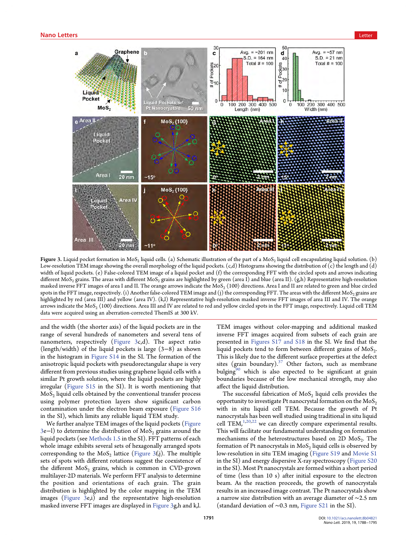<span id="page-3-0"></span>

Figure 3. Liquid pocket formation in MoS<sub>2</sub> liquid cells. (a) Schematic illustration of the part of a MoS<sub>2</sub> liquid cell encapsulating liquid solution. (b) Low-resolution TEM image showing the overall morphology of the liquid pockets. (c,d) Histograms showing the distribution of (c) the length and (d) width of liquid pockets. (e) False-colored TEM image of a liquid pocket and (f) the corresponding FFT with the circled spots and arrows indicating different MoS<sub>2</sub> grains. The areas with different MoS<sub>2</sub> grains are highlighted by green (area I) and blue (area II). (g,h) Representative high-resolution masked inverse FFT images of area I and II. The orange arrows indicate the MoS<sub>2</sub>  $\langle 100 \rangle$  directions. Area I and II are related to green and blue circled spots in the FFT image, respectively. (i) Another false-colored TEM image and (j) the corresponding FFT. The areas with the different MoS<sub>2</sub> grains are highlighted by red (area III) and yellow (area IV). (k,l) Representative high-resolution masked inverse FFT images of area III and IV. The orange arrows indicate the MoS<sub>2</sub>  $\langle 100 \rangle$  directions. Area III and IV are related to red and yellow circled spots in the FFT image, respectively. Liquid cell TEM data were acquired using an aberration-corrected ThemIS at 300 kV.

and the width (the shorter axis) of the liquid pockets are in the range of several hundreds of nanometers and several tens of nanometers, respectively (Figure 3c,d). The aspect ratio (length/width) of the liquid pockets is large (3−8) as shown in the histogram in [Figure S14](http://pubs.acs.org/doi/suppl/10.1021/acs.nanolett.8b04821/suppl_file/nl8b04821_si_001.pdf) in the SI. The formation of the anisotropic liquid pockets with pseudorectangular shape is very different from previous studies using graphene liquid cells with a similar Pt growth solution, where the liquid pockets are highly irregular [\(Figure S15](http://pubs.acs.org/doi/suppl/10.1021/acs.nanolett.8b04821/suppl_file/nl8b04821_si_001.pdf) in the SI). It is worth mentioning that  $MoS<sub>2</sub>$  liquid cells obtained by the conventional transfer process using polymer protection layers show significant carbon contamination under the electron beam exposure ([Figure S16](http://pubs.acs.org/doi/suppl/10.1021/acs.nanolett.8b04821/suppl_file/nl8b04821_si_001.pdf) in the SI), which limits any reliable liquid TEM study.

We further analyze TEM images of the liquid pockets (Figure 3e−l) to determine the distribution of MoS<sub>2</sub> grains around the liquid pockets (see [Methods 1.5](http://pubs.acs.org/doi/suppl/10.1021/acs.nanolett.8b04821/suppl_file/nl8b04821_si_001.pdf) in the SI). FFT patterns of each whole image exhibits several sets of hexagonally arranged spots corresponding to the  $MoS<sub>2</sub>$  lattice (Figure 3f,j). The multiple sets of spots with different rotations suggest the coexistence of the different  $MoS<sub>2</sub>$  grains, which is common in CVD-grown multilayer-2D materials. We perform FFT analysis to determine the position and orientations of each grain. The grain distribution is highlighted by the color mapping in the TEM images (Figure 3e,i) and the representative high-resolution masked inverse FFT images are displayed in Figure 3g,h and k,l.

TEM images without color-mapping and additional masked inverse FFT images acquired from subsets of each grain are presented in [Figures S17 and S18](http://pubs.acs.org/doi/suppl/10.1021/acs.nanolett.8b04821/suppl_file/nl8b04821_si_001.pdf) in the SI. We find that the liquid pockets tend to form between different grains of  $MoS<sub>2</sub>$ . This is likely due to the different surface properties at the defect sites (grain boundary). $37$  Other factors, such as membrane bulging $90$  which is also expected to be significant at grain boundaries because of the low mechanical strength, may also affect the liquid distribution.

The successful fabrication of  $MoS<sub>2</sub>$  liquid cells provides the opportunity to investigate Pt nanocrystal formation on the  $MoS<sub>2</sub>$ with in situ liquid cell TEM. Because the growth of Pt nanocrystals has been well studied using traditional in situ liquid cell TEM, $1,20,22$  $1,20,22$  we can directly compare experimental results. This will facilitate our fundamental understanding on formation mechanisms of the heterostructures based on 2D  $MoS<sub>2</sub>$ . The formation of Pt nanocrystals in  $MoS<sub>2</sub>$  liquid cells is observed by low-resolution in situ TEM imaging ([Figure S19](http://pubs.acs.org/doi/suppl/10.1021/acs.nanolett.8b04821/suppl_file/nl8b04821_si_001.pdf) and [Movie S1](http://pubs.acs.org/doi/suppl/10.1021/acs.nanolett.8b04821/suppl_file/nl8b04821_si_002.avi) in the SI) and energy dispersive X-ray spectroscopy ([Figure S20](http://pubs.acs.org/doi/suppl/10.1021/acs.nanolett.8b04821/suppl_file/nl8b04821_si_001.pdf) in the SI). Most Pt nanocrystals are formed within a short period of time (less than 10 s) after initial exposure to the electron beam. As the reaction proceeds, the growth of nanocrystals results in an increased image contrast. The Pt nanocrystals show a narrow size distribution with an average diameter of ∼2.5 nm (standard deviation of ∼0.3 nm, [Figure S21](http://pubs.acs.org/doi/suppl/10.1021/acs.nanolett.8b04821/suppl_file/nl8b04821_si_001.pdf) in the SI).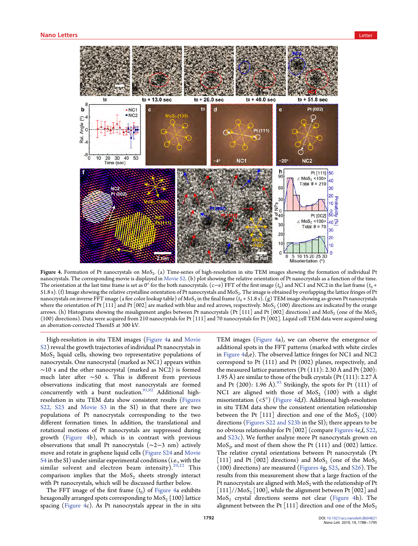<span id="page-4-0"></span>

Figure 4. Formation of Pt nanocrystals on MoS<sub>2</sub>. (a) Time-series of high-resolution in situ TEM images showing the formation of individual Pt nanocrystals. The corresponding movie is displayed in [Movie S2.](http://pubs.acs.org/doi/suppl/10.1021/acs.nanolett.8b04821/suppl_file/nl8b04821_si_003.avi) (b) plot showing the relative orientation of Pt nanocrystals as a function of the time. The orientation at the last time frame is set as 0° for the both nanocrystals. (c–e) FFT of the first image  $(t_0)$  and NC1 and NC2 in the last frame  $(t_0 +$ 51.8 s). (f) Image showing the relative crystalline orientation of Pt nanocrystals and MoS<sub>2</sub>. The image is obtained by overlapping the lattice fringes of Pt nanocrystals on inverse FFT image (a fire color lookup table) of MoS<sub>2</sub> in the final frame ( $t_0$  + 51.8 s). (g) TEM image showing as-grown Pt nanocrystals where the orientation of Pt [111] and Pt [002] are marked with blue and red arrows, respectively. MoS<sub>2</sub>  $\langle 100 \rangle$  directions are indicated by the orange arrows. (h) Histograms showing the misalignment angles between Pt nanocrystals (Pt [111] and Pt [002] directions) and MoS<sub>2</sub> (one of the MoS<sub>2</sub> ⟨100⟩ directions). Data were acquired from 210 nanocrystals for Pt [111] and 70 nanocrystals for Pt [002]. Liquid cell TEM data were acquired using an aberration-corrected ThemIS at 300 kV.

High-resolution in situ TEM images (Figure 4a and [Movie](http://pubs.acs.org/doi/suppl/10.1021/acs.nanolett.8b04821/suppl_file/nl8b04821_si_003.avi) [S2](http://pubs.acs.org/doi/suppl/10.1021/acs.nanolett.8b04821/suppl_file/nl8b04821_si_003.avi)) reveal the growth trajectories of individual Pt nanocrystals in  $MoS<sub>2</sub>$  liquid cells, showing two representative populations of nanocrystals. One nanocrystal (marked as NC1) appears within ∼10 s and the other nanocrystal (marked as NC2) is formed much later after ∼50 s. This is different from previous observations indicating that most nanocrystals are formed concurrently with a burst nucleation.<sup>[91,92](#page-7-0)</sup> Additional highresolution in situ TEM data show consistent results ([Figures](http://pubs.acs.org/doi/suppl/10.1021/acs.nanolett.8b04821/suppl_file/nl8b04821_si_001.pdf) [S22, S23](http://pubs.acs.org/doi/suppl/10.1021/acs.nanolett.8b04821/suppl_file/nl8b04821_si_001.pdf) and [Movie S3](http://pubs.acs.org/doi/suppl/10.1021/acs.nanolett.8b04821/suppl_file/nl8b04821_si_004.avi) in the SI) in that there are two populations of Pt nanocrystals corresponding to the two different formation times. In addition, the translational and rotational motions of Pt nanocrystals are suppressed during growth (Figure 4b), which is in contrast with previous observations that small Pt nanocrystals (∼2−3 nm) actively move and rotate in graphene liquid cells [\(Figure S24](http://pubs.acs.org/doi/suppl/10.1021/acs.nanolett.8b04821/suppl_file/nl8b04821_si_001.pdf) and [Movie](http://pubs.acs.org/doi/suppl/10.1021/acs.nanolett.8b04821/suppl_file/nl8b04821_si_005.avi) [S4](http://pubs.acs.org/doi/suppl/10.1021/acs.nanolett.8b04821/suppl_file/nl8b04821_si_005.avi) in the SI) under similar experimental conditions (i.e., with the similar solvent and electron beam intensity). $20,22$  This comparison implies that the  $MoS<sub>2</sub>$  sheets strongly interact with Pt nanocrystals, which will be discussed further below.

The FFT image of the first frame  $(t_0)$  of Figure 4a exhibits hexagonally arranged spots corresponding to  $MoS<sub>2</sub>$  {100} lattice spacing (Figure 4c). As Pt nanocrystals appear in the in situ TEM images (Figure 4a), we can observe the emergence of additional spots in the FFT patterns (marked with white circles in Figure 4d,e). The observed lattice fringes for NC1 and NC2 correspond to Pt (111) and Pt (002) planes, respectively, and the measured lattice parameters (Pt  $(111)$ : 2.30 Å and Pt  $(200)$ : 1.95 Å) are similar to those of the bulk crystals (Pt  $(111)$ : 2.27 Å and Pt (200): 1.96 Å). $93$  Strikingly, the spots for Pt (111) of NC1 are aligned with those of  $MoS<sub>2</sub>$  (100) with a slight misorientation  $(\langle 5^{\circ} \rangle)$  (Figure 4d,f). Additional high-resolution in situ TEM data show the consistent orientation relationship between the Pt [111] direction and one of the  $MoS<sub>2</sub> \langle 100 \rangle$ directions [\(Figures S22 and S23b](http://pubs.acs.org/doi/suppl/10.1021/acs.nanolett.8b04821/suppl_file/nl8b04821_si_001.pdf) in the SI); there appears to be no obvious relationship for Pt [002] (compare Figures 4e,f, [S22](http://pubs.acs.org/doi/suppl/10.1021/acs.nanolett.8b04821/suppl_file/nl8b04821_si_001.pdf), and [S23c\)](http://pubs.acs.org/doi/suppl/10.1021/acs.nanolett.8b04821/suppl_file/nl8b04821_si_001.pdf). We further analyze more Pt nanocrystals grown on  $MoS<sub>2</sub>$ , and most of them show the Pt (111) and (002) lattice. The relative crystal orientations between Pt nanocrystals (Pt [111] and Pt [002] directions) and MoS<sub>2</sub> (one of the MoS<sub>2</sub> ⟨100⟩ directions) are measured (Figures 4g, [S25](http://pubs.acs.org/doi/suppl/10.1021/acs.nanolett.8b04821/suppl_file/nl8b04821_si_001.pdf), and [S26\)](http://pubs.acs.org/doi/suppl/10.1021/acs.nanolett.8b04821/suppl_file/nl8b04821_si_001.pdf). The results from this measurement show that a large fraction of the Pt nanocrystals are aligned with  $MoS<sub>2</sub>$  with the relationship of Pt  $[111]//MoS<sub>2</sub>$  [100], while the alignment between Pt [002] and  $MoS<sub>2</sub>$  crystal directions seems not clear (Figure 4h). The alignment between the Pt [111] direction and one of the  $MoS<sub>2</sub>$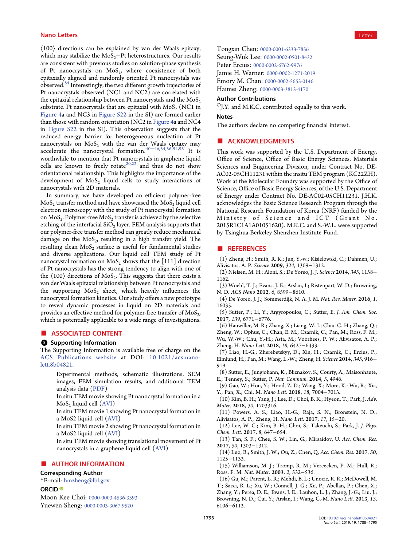<span id="page-5-0"></span>⟨100⟩ directions can be explained by van der Waals epitaxy, which may stabilize the  $MoS<sub>2</sub>$ −Pt heterostructures. Our results are consistent with previous studies on solution-phase synthesis of Pt nanocrystals on  $MoS<sub>2</sub>$ , where coexistence of both epitaxially aligned and randomly oriented Pt nanocrystals was observed.[54](#page-6-0) Interestingly, the two different growth trajectories of Pt nanocrystals observed (NC1 and NC2) are correlated with the epitaxial relationship between Pt nanocrystals and the  $MoS<sub>2</sub>$ substrate. Pt nanocrystals that are epitaxial with  $MoS<sub>2</sub>$  (NC1 in [Figure 4](#page-4-0)a and NC3 in [Figure S22](http://pubs.acs.org/doi/suppl/10.1021/acs.nanolett.8b04821/suppl_file/nl8b04821_si_001.pdf) in the SI) are formed earlier than those with random orientation (NC2 in [Figure 4a](#page-4-0) and NC4 in [Figure S22](http://pubs.acs.org/doi/suppl/10.1021/acs.nanolett.8b04821/suppl_file/nl8b04821_si_001.pdf) in the SI). This observation suggests that the reduced energy barrier for heterogeneous nucleation of Pt nanocrystals on  $\mathrm{MoS}_{2}$  with the van der Waals epitaxy may accelerate the nanocrystal formation.[40](#page-6-0)−[46,54,56,](#page-6-0)[94](#page-7-0),[95](#page-7-0) It is worthwhile to mention that Pt nanocrystals in graphene liquid cells are known to freely rotate<sup>[20,22](#page-6-0)</sup> and thus do not show orientational relationship. This highlights the importance of the development of  $MoS<sub>2</sub>$  liquid cells to study interactions of nanocrystals with 2D materials.

In summary, we have developed an efficient polymer-free  $MoS<sub>2</sub>$  transfer method and have showcased the  $MoS<sub>2</sub>$  liquid cell electron microscopy with the study of Pt nanocrystal formation on  $MoS<sub>2</sub>$ . Polymer-free  $MoS<sub>2</sub>$  transfer is achieved by the selective etching of the interfacial  $SiO<sub>2</sub>$  layer. FEM analysis supports that our polymer-free transfer method can greatly reduce mechanical damage on the  $MoS<sub>2</sub>$ , resulting in a high transfer yield. The resulting clean  $MoS<sub>2</sub>$  surface is useful for fundamental studies and diverse applications. Our liquid cell TEM study of Pt nanocrystal formation on  $MoS_2$  shows that the [111] direction of Pt nanocrystals has the strong tendency to align with one of the  $\langle 100 \rangle$  directions of MoS<sub>2</sub>. This suggests that there exists a van der Waals epitaxial relationship between Pt nanocrystals and the supporting  $MoS<sub>2</sub>$  sheet, which heavily influences the nanocrystal formation kinetics. Our study offers a new prototype to reveal dynamic processes in liquid on 2D materials and provides an effective method for polymer-free transfer of  $MoS<sub>2</sub>$ , which is potentially applicable to a wide range of investigations.

#### ■ ASSOCIATED CONTENT

#### **6** Supporting Information

The Supporting Information is available free of charge on the [ACS Publications website](http://pubs.acs.org) at DOI: [10.1021/acs.nano](http://pubs.acs.org/doi/abs/10.1021/acs.nanolett.8b04821)[lett.8b04821](http://pubs.acs.org/doi/abs/10.1021/acs.nanolett.8b04821).

Experimental methods, schematic illustrations, SEM images, FEM simulation results, and additional TEM analysis data ([PDF\)](http://pubs.acs.org/doi/suppl/10.1021/acs.nanolett.8b04821/suppl_file/nl8b04821_si_001.pdf)

In situ TEM movie showing Pt nanocrystal formation in a  $MoS<sub>2</sub>$  liquid cell  $(AVI)$  $(AVI)$  $(AVI)$ 

In situ TEM movie 1 showing Pt nanocrystal formation in a MoS2 liquid cell ([AVI\)](http://pubs.acs.org/doi/suppl/10.1021/acs.nanolett.8b04821/suppl_file/nl8b04821_si_003.avi)

In situ TEM movie 2 showing Pt nanocrystal formation in a MoS2 liquid cell ([AVI\)](http://pubs.acs.org/doi/suppl/10.1021/acs.nanolett.8b04821/suppl_file/nl8b04821_si_004.avi)

In situ TEM movie showing translational movement of Pt nanocrystals in a graphene liquid cell [\(AVI\)](http://pubs.acs.org/doi/suppl/10.1021/acs.nanolett.8b04821/suppl_file/nl8b04821_si_005.avi)

### ■ AUTHOR INFORMATION

### Corresponding Author

\*E-mail: [hmzheng@lbl.gov.](mailto:hmzheng@lbl.gov)

#### ORCID<sup>®</sup>

Moon Kee Choi: [0000-0003-4536-3393](http://orcid.org/0000-0003-4536-3393) Yuewen Sheng: [0000-0003-3067-9520](http://orcid.org/0000-0003-3067-9520)

Tongxin Chen: [0000-0001-6333-7856](http://orcid.org/0000-0001-6333-7856) Seung-Wuk Lee: [0000-0002-0501-8432](http://orcid.org/0000-0002-0501-8432) Peter Ercius: [0000-0002-6762-9976](http://orcid.org/0000-0002-6762-9976) Jamie H. Warner: [0000-0002-1271-2019](http://orcid.org/0000-0002-1271-2019) Emory M. Chan: [0000-0002-5655-0146](http://orcid.org/0000-0002-5655-0146) Haimei Zheng: [0000-0003-3813-4170](http://orcid.org/0000-0003-3813-4170)

#### Author Contributions

 $\circ$ J.Y. and M.K.C. contributed equally to this work.

#### Notes

The authors declare no competing financial interest.

#### ■ ACKNOWLEDGMENTS

This work was supported by the U.S. Department of Energy, Office of Science, Office of Basic Energy Sciences, Materials Sciences and Engineering Division, under Contract No. DE-AC02-05CH11231 within the insitu TEM program (KC22ZH). Work at the Molecular Foundry was supported by the Office of Science, Office of Basic Energy Sciences, of the U.S. Department of Energy under Contract No. DE-AC02-05CH11231. J.H.K. acknowledges the Basic Science Research Program through the National Research Foundation of Korea (NRF) funded by the Ministry of Science and ICT (Grant No. 2015R1C1A1A01051620). M.K.C. and S.-W.L. were supported by Tsinghua Berkeley Shenzhen Institute Fund.

#### ■ REFERENCES

(1) Zheng, H.; Smith, R. K.; Jun, Y.-w.; Kisielowski, C.; Dahmen, U.; Alivisatos, A. P. Science 2009, 324, 1309−1312.

(2) Nielsen, M. H.; Aloni, S.; De Yoreo, J. J. Science 2014, 345, 1158− 1162.

(3) Woehl, T. J.; Evans, J. E.; Arslan, I.; Ristenpart, W. D.; Browning, N. D. ACS Nano 2012, 6, 8599−8610.

(4) De Yoreo, J. J.; Sommerdijk, N. A. J. M. Nat. Rev. Mater. 2016, 1, 16035.

(5) Sutter, P.; Li, Y.; Argyropoulos, C.; Sutter, E. J. Am. Chem. Soc. 2017, 139, 6771−6776.

(6) Hauwiller, M. R.; Zhang, X.; Liang, W.-I.; Chiu, C.-H.; Zhang, Q.; Zheng, W.; Ophus, C.; Chan, E. M.; Czarnik, C.; Pan, M.; Ross, F. M.; Wu, W.-W.; Chu, Y.-H.; Asta, M.; Voorhees, P. W.; Alivisatos, A. P.; Zheng, H. Nano Lett. 2018, 18, 6427−6433.

(7) Liao, H.-G.; Zherebetskyy, D.; Xin, H.; Czarnik, C.; Ercius, P.; Elmlund, H.; Pan, M.; Wang, L.-W.; Zheng, H. Science 2014, 345, 916− 919.

(8) Sutter, E.; Jungjohann, K.; Bliznakov, S.; Courty, A.; Maisonhaute, E.; Tenney, S.; Sutter, P. Nat. Commun. 2014, 5, 4946.

(9) Gao, W.; Hou, Y.; Hood, Z. D.; Wang, X.; More, K.; Wu, R.; Xia, Y.; Pan, X.; Chi, M. Nano Lett. 2018, 18, 7004−7013.

(10) Kim, B. H.; Yang, J.; Lee, D.; Choi, B. K.; Hyeon, T.; Park, J. Adv. Mater. 2018, 30, 1703316.

(11) Powers, A. S.; Liao, H.-G.; Raja, S. N.; Bronstein, N. D.; Alivisatos, A. P.; Zheng, H. Nano Lett. 2017, 17, 15−20.

(12) Lee, W. C.; Kim, B. H.; Choi, S.; Takeuchi, S.; Park, J. J. Phys. Chem. Lett. 2017, 8, 647−654.

(13) Tan, S. F.; Chee, S. W.; Lin, G.; Mirsaidov, U. Acc. Chem. Res. 2017, 50, 1303−1312.

(14) Luo, B.; Smith, J. W.; Ou, Z.; Chen, Q. Acc. Chem. Res. 2017, 50, 1125−1133.

(15) Williamson, M. J.; Tromp, R. M.; Vereecken, P. M.; Hull, R.; Ross, F. M. Nat. Mater. 2003, 2, 532−536.

(16) Gu, M.; Parent, L. R.; Mehdi, B. L.; Unocic, R. R.; McDowell, M. T.; Sacci, R. L.; Xu, W.; Connell, J. G.; Xu, P.; Abellan, P.; Chen, X.; Zhang, Y.; Perea, D. E.; Evans, J. E.; Lauhon, L. J.; Zhang, J.-G.; Liu, J.; Browning, N. D.; Cui, Y.; Arslan, I.; Wang, C.-M. Nano Lett. 2013, 13, 6106−6112.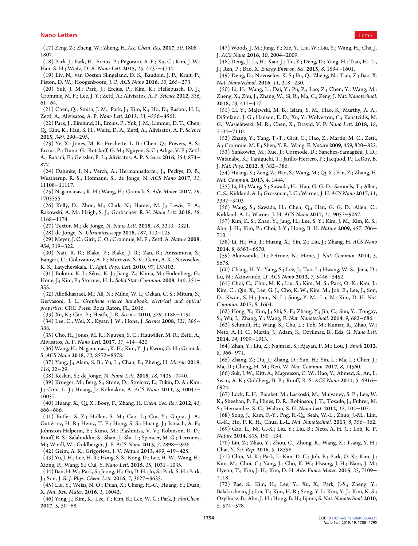<span id="page-6-0"></span>(17) Zeng, Z.; Zheng, W.; Zheng, H. Acc. Chem. Res. 2017, 50, 1808− 1807.

- (18) Park, J.; Park, H.; Ercius, P.; Pegoraro, A. F.; Xu, C.; Kim, J. W.; Han, S. H.; Weitz, D. A. Nano Lett. 2015, 15, 4737−4744.
- (19) Liv, N.; van Oosten Slingeland, D. S.; Baudoin, J. P.; Kruit, P.; Piston, D. W.; Hoogenboom, J. P. ACS Nano 2016, 10, 265−273.

(20) Yuk, J. M.; Park, J.; Ercius, P.; Kim, K.; Hellebusch, D. J.; Crommie, M. F.; Lee, J. Y.; Zettl, A.; Alivisatos, A. P. Science 2012, 336, 61−64.

(21) Chen, Q.; Smith, J. M.; Park, J.; Kim, K.; Ho, D.; Rasool, H. I.; Zettl, A.; Alivisatos, A. P. Nano Lett. 2013, 13, 4556−4561.

(22) Park, J.; Elmlund, H.; Ercius, P.; Yuk, J. M.; Limmer, D. T.; Chen, Q.; Kim, K.; Han, S. H.; Weitz, D. A.; Zettl, A.; Alivisatos, A. P. Science 2015, 349, 290−295.

(23) Ye, X.; Jones, M. R.; Frechette, L. B.; Chen, Q.; Powers, A. S.; Ercius, P.; Dunn, G.; Rotskoff, G. M.; Nguyen, S. C.; Adiga, V. P.; Zettl, A.; Rabani, E.; Geissler, P. L.; Alivisatos, A. P. Science 2016, 354, 874− 877.

(24) Dahmke, I. N.; Verch, A.; Hermannsdorfer, J.; Peckys, D. B.; Weatherup, R. S.; Hofmann, S.; de Jonge, N. ACS Nano 2017, 11, 11108−11117.

(25) Nagamanasa, K. H.; Wang, H.; Granick, S. Adv. Mater. 2017, 29, 1703555.

(26) Kelly, D.; Zhou, M.; Clark, N.; Hamer, M. J.; Lewis, E. A.; Rakowski, A. M.; Haigh, S. J.; Gorbachev, R. V. Nano Lett. 2018, 18, 1168−1174.

(27) Textor, M.; de Jonge, N. Nano Lett. 2018, 18, 3313−3321.

(28) de Jonge, N. Ultramicroscopy 2018, 187, 113−125.

(29) Meyer, J. C.; Girit, C. O.; Crommie, M. F.; Zettl, A. Nature 2008, 454, 319−322.

(30) Nair, R. R.; Blake, P.; Blake, J. R.; Zan, R.; Anissimova, S.; Bangert, U.; Golovanov, A. P.; Morozov, S. V.; Geim, A. K.; Novoselov, K. S.; Latychevskaia, T. Appl. Phys. Lett. 2010, 97, 153102.

(31) Bolotin, K. I.; Sikes, K. J.; Jiang, Z.; Klima, M.; Fudenberg, G.; Hone, J.; Kim, P.; Stormer, H. L. Solid State Commun. 2008, 146, 351− 355.

(32) Aliofkhazraei, M.; Ali, N.; Milne, W. I.; Ozkan, C. S.; Mitura, S.; Gervasoni, J. L. Graphene science handbook: electrical and optical properties; CRC Press: Boca Raton, FL, 2016.

(33) Xu, K.; Cao, P.; Heath, J. R. Science 2010, 329, 1188−1191.

(34) Lee, C.; Wei, X.; Kysar, J. W.; Hone, J. Science 2008, 321, 385− 388.

(35) Cho, H.; Jones, M. R.; Nguyen, S. C.; Hauwiller, M. R.; Zettl, A.; Alivisatos, A. P. Nano Lett. 2017, 17, 414−420.

(36) Wang, H.; Nagamanasa, K. H.; Kim, Y.-J.; Kwon, O.-H.; Granick, S. ACS Nano 2018, 12, 8572−8578.

(37) Yang, J.; Alam, S. B.; Yu, L.; Chan, E.; Zheng, H. Micron 2019, 116, 22−29.

(38) Keskin, S.; de Jonge, N. Nano Lett. 2018, 18, 7435−7440.

(39) Krueger, M.; Berg, S.; Stone, D.; Strelcov, E.; Dikin, D. A.; Kim, J.; Cote, L. J.; Huang, J.; Kolmakov, A. ACS Nano 2011, 5, 10047− 10057.

(40) Huang, X.; Qi, X.; Boey, F.; Zhang, H. Chem. Soc. Rev. 2012, 41, 666−686.

(41) Butler, S. Z.; Hollen, S. M.; Cao, L.; Cui, Y.; Gupta, J. A.; Gutiérrez, H. R.; Heinz, T. F.; Hong, S. S.; Huang, J.; Ismach, A. F.; Johnston-Halperin, E.; Kuno, M.; Plashnitsa, V. V.; Robinson, R. D.; Ruoff, R. S.; Salahuddin, S.; Shan, J.; Shi, L.; Spencer, M. G.; Terrones, M.; Windl, W.; Goldberger, J. E. ACS Nano 2013, 7, 2898−2926.

(42) Geim, A. K.; Grigorieva, I. V. Nature 2013, 499, 419−425.

(43) Yu, J. H.; Lee, H. R.; Hong, S. S.; Kong, D.; Lee, H.-W.; Wang, H.; Xiong, F.; Wang, S.; Cui, Y. Nano Lett. 2015, 15, 1031−1035.

(44) Ban, H. W.; Park, S.; Jeong, H.; Gu, D. H.; Jo, S.; Park, S. H.; Park, J.; Son, J. S. J. Phys. Chem. Lett. 2016, 7, 3627−3635.

(45) Liu, Y.; Weiss, N. O.; Duan, X.; Cheng, H.-C.; Huang, Y.; Duan, X. Nat. Rev. Mater. 2016, 1, 16042.

(46) Yang, J.; Kim, K.; Lee, Y.; Kim, K.; Lee, W. C.; Park, J. FlatChem. 2017, 5, 50−68.

(47) Woods, J. M.; Jung, Y.; Xie, Y.; Liu, W.; Liu, Y.; Wang, H.; Cha, J. J. ACS Nano 2016, 10, 2004−2009.

(48) Deng, J.; Li, H.; Xiao, J.; Tu, Y.; Deng, D.; Yang, H.; Tian, H.; Li, J.; Ren, P.; Bao, X. Energy Environ. Sci. 2015, 8, 1594−1601.

(49) Deng, D.; Novoselov, K. S.; Fu, Q.; Zheng, N.; Tian, Z.; Bao, X. Nat. Nanotechnol. 2016, 11, 218−230.

(50) Li, H.; Wang, L.; Dai, Y.; Pu, Z.; Lao, Z.; Chen, Y.; Wang, M.; Zheng, X.; Zhu, J.; Zhang, W.; Si, R.; Ma, C.; Zeng, J. Nat. Nanotechnol. 2018, 13, 411−417.

(51) Li, Y.; Majewski, M. B.; Islam, S. M.; Hao, S.; Murthy, A. A.; DiStefano, J. G.; Hanson, E. D.; Xu, Y.; Wolverton, C.; Kanatzidis, M. G.; Wasielewski, M. R.; Chen, X.; Dravid, V. P. Nano Lett. 2018, 18, 7104−7110.

(52) Zhang, Y.; Tang, T.-T.; Girit, C.; Hao, Z.; Martin, M. C.; Zettl, A.; Crommie, M. F.; Shen, Y. R.; Wang, F. Nature 2009, 459, 820−823.

(53) Yankowitz, M.; Xue, J.; Cormode, D.; Sanchez-Yamagishi, J. D.; Watanabe, K.; Taniguchi, T.; Jarillo-Herrero, P.; Jacquod, P.; LeRoy, B. J. Nat. Phys. 2012, 8, 382−386.

(54) Huang, X.; Zeng, Z.; Bao, S.; Wang, M.; Qi, X.; Fan, Z.; Zhang, H. Nat. Commun. 2013, 4, 1444.

(55) Li, H.; Wang, S.; Sawada, H.; Han, G. G. D.; Samuels, T.; Allen, C. S.; Kirkland, A. I.; Grossman, J. C.; Warner, J. H. ACS Nano 2017, 11, 3392−3403.

(56) Wang, S.; Sawada, H.; Chen, Q.; Han, G. G. D.; Allen, C.; Kirkland, A. I.; Warner, J. H. ACS Nano 2017, 11, 9057−9067.

(57) Kim, K. S.; Zhao, Y.; Jang, H.; Lee, S. Y.; Kim, J. M.; Kim, K. S.; Ahn, J.-H.; Kim, P.; Choi, J.-Y.; Hong, B. H. Nature 2009, 457, 706− 710.

(58) Li, H.; Wu, J.; Huang, X.; Yin, Z.; Liu, J.; Zhang, H. ACS Nano 2014, 8, 6563−6570.

(59) Akinwande, D.; Petrone, N.; Hone, J. Nat. Commun. 2014, 5, 5678.

(60) Chang, H.-Y.; Yang, S.; Lee, J.; Tao, L.; Hwang, W.-S.; Jena, D.; Lu, N.; Akinwande, D. ACS Nano 2013, 7, 5446−5452.

(61) Choi, C.; Choi, M. K.; Liu, S.; Kim, M. S.; Park, O. K.; Kim, J.; Kim, C.; Qin, X.; Lee, G. J.; Cho, K. W.; Kim, M.; Joh, E.; Lee, J.; Son, D.; Kwon, S.-H.; Jeon, N. L.; Song, Y. M.; Lu, N.; Kim, D.-H. Nat. Commun. 2017, 8, 1664.

(62) Hong, X.; Kim, J.; Shi, S.-F.; Zhang, Y.; Jin, C.; Sun, Y.; Tongay, S.; Wu, J.; Zhang, Y.; Wang, F. Nat. Nanotechnol. 2014, 9, 682−686.

(63) Schmidt, H.; Wang, S.; Chu, L.; Toh, M.; Kumar, R.; Zhao, W.; Neto, A. H. C.; Martin, J.; Adam, S.; Özyilmaz, B.; Eda, G. *Nano Lett.* 2014, 14, 1909−1913.

(64) Zhan, Y.; Liu, Z.; Najmaei, S.; Ajayan, P. M.; Lou, J. Small 2012, 8, 966−971.

(65) Zhang, Z.; Du, J.; Zhang, D.; Sun, H.; Yin, L.; Ma, L.; Chen, J.; Ma, D.; Cheng, H.-M.; Ren, W. Nat. Commun. 2017, 8, 14560.

(66) Suk, J. W.; Kitt, A.; Magnuson, C. W.; Hao, Y.; Ahmed, S.; An, J.; Swan, A. K.; Goldberg, B. B.; Ruoff, R. S. ACS Nano 2011, 5, 6916− 6924.

(67) Lock, E. H.; Baraket, M.; Laskoski, M.; Mulvaney, S. P.; Lee, W. K.; Sheehan, P. E.; Hines, D. R.; Robinson, J. T.; Tosado, J.; Fuhrer, M.

S.; Hernandez, S. C.; Walton, S. G. Nano Lett. 2012, 12, 102−107.

(68) Song, J.; Kam, F.-Y.; Png, R.-Q.; Seah, W.-L.; Zhuo, J.-M.; Lim, G.-K.; Ho, P. K. H.; Chua, L.-L. Nat. Nanotechnol. 2013, 8, 356−362. (69) Gao, L.; Ni, G.-X.; Liu, Y.; Liu, B.; Neto, A. H. C.; Loh, K. P. Nature 2014, 505, 190−194.

(70) Lin, Z.; Zhao, Y.; Zhou, C.; Zhong, R.; Wang, X.; Tsang, Y. H.; Chai, Y. Sci. Rep. 2016, 5, 18596.

(71) Choi, M. K.; Park, I.; Kim, D. C.; Joh, E.; Park, O. K.; Kim, J.; Kim, M.; Choi, C.; Yang, J.; Cho, K. W.; Hwang, J.-H.; Nam, J.-M.; Hyeon, T.; Kim, J. H.; Kim, D.-H. Adv. Funct. Mater. 2015, 25, 7109− 7118.

(72) Bae, S.; Kim, H.; Lee, Y.; Xu, X.; Park, J.-S.; Zheng, Y.; Balakrishnan, J.; Lei, T.; Kim, H. R.; Song, Y. I.; Kim, Y.-J.; Kim, K. S.; Ozyilmaz, B.; Ahn, J.-H.; Hong, B. H.; Iijima, S. Nat. Nanotechnol. 2010, 5, 574−578.